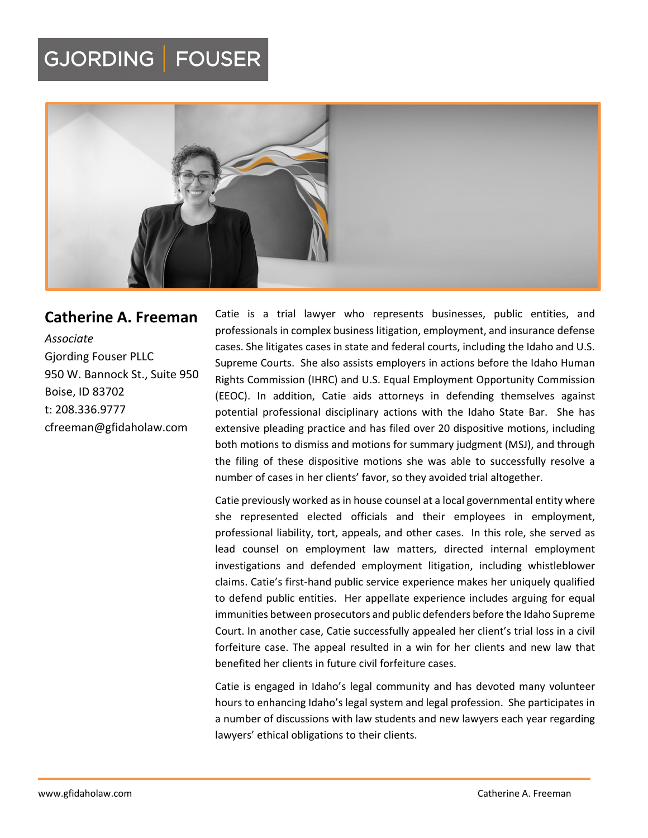## GJORDING | FOUSER



### **Catherine A. Freeman**

*Associate* Gjording Fouser PLLC 950 W. Bannock St., Suite 950 Boise, ID 83702 t: 208.336.9777 cfreeman@gfidaholaw.com

Catie is a trial lawyer who represents businesses, public entities, and professionals in complex business litigation, employment, and insurance defense cases. She litigates cases in state and federal courts, including the Idaho and U.S. Supreme Courts. She also assists employers in actions before the Idaho Human Rights Commission (IHRC) and U.S. Equal Employment Opportunity Commission (EEOC). In addition, Catie aids attorneys in defending themselves against potential professional disciplinary actions with the Idaho State Bar. She has extensive pleading practice and has filed over 20 dispositive motions, including both motions to dismiss and motions for summary judgment (MSJ), and through the filing of these dispositive motions she was able to successfully resolve a number of cases in her clients' favor, so they avoided trial altogether.

Catie previously worked as in house counsel at a local governmental entity where she represented elected officials and their employees in employment, professional liability, tort, appeals, and other cases. In this role, she served as lead counsel on employment law matters, directed internal employment investigations and defended employment litigation, including whistleblower claims. Catie's first‐hand public service experience makes her uniquely qualified to defend public entities. Her appellate experience includes arguing for equal immunities between prosecutors and public defenders before the Idaho Supreme Court. In another case, Catie successfully appealed her client's trial loss in a civil forfeiture case. The appeal resulted in a win for her clients and new law that benefited her clients in future civil forfeiture cases.

Catie is engaged in Idaho's legal community and has devoted many volunteer hours to enhancing Idaho's legal system and legal profession. She participates in a number of discussions with law students and new lawyers each year regarding lawyers' ethical obligations to their clients.